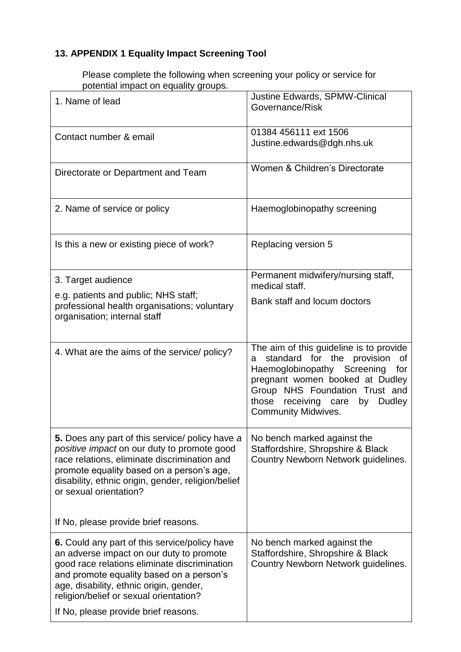## **13. APPENDIX 1 Equality Impact Screening Tool**

Please complete the following when screening your policy or service for potential impact on equality groups.

| 1. Name of lead                                                                                                                                                                                                                                                             | Justine Edwards, SPMW-Clinical<br>Governance/Risk                                                                                                                                                                                                                           |
|-----------------------------------------------------------------------------------------------------------------------------------------------------------------------------------------------------------------------------------------------------------------------------|-----------------------------------------------------------------------------------------------------------------------------------------------------------------------------------------------------------------------------------------------------------------------------|
| Contact number & email                                                                                                                                                                                                                                                      | 01384 456111 ext 1506<br>Justine.edwards@dgh.nhs.uk                                                                                                                                                                                                                         |
| Directorate or Department and Team                                                                                                                                                                                                                                          | Women & Children's Directorate                                                                                                                                                                                                                                              |
| 2. Name of service or policy                                                                                                                                                                                                                                                | Haemoglobinopathy screening                                                                                                                                                                                                                                                 |
| Is this a new or existing piece of work?                                                                                                                                                                                                                                    | Replacing version 5                                                                                                                                                                                                                                                         |
| 3. Target audience                                                                                                                                                                                                                                                          | Permanent midwifery/nursing staff,<br>medical staff.                                                                                                                                                                                                                        |
| e.g. patients and public; NHS staff;<br>professional health organisations; voluntary<br>organisation; internal staff                                                                                                                                                        | Bank staff and locum doctors                                                                                                                                                                                                                                                |
| 4. What are the aims of the service/ policy?                                                                                                                                                                                                                                | The aim of this guideline is to provide<br>standard for the provision<br>οf<br>а<br>Haemoglobinopathy Screening<br>for<br>pregnant women booked at Dudley<br>Group NHS Foundation Trust and<br>those<br>receiving care<br>by<br><b>Dudley</b><br><b>Community Midwives.</b> |
| 5. Does any part of this service/ policy have a<br>positive impact on our duty to promote good<br>race relations, eliminate discrimination and<br>promote equality based on a person's age,<br>disability, ethnic origin, gender, religion/belief<br>or sexual orientation? | No bench marked against the<br>Staffordshire, Shropshire & Black<br>Country Newborn Network guidelines.                                                                                                                                                                     |
| If No, please provide brief reasons.                                                                                                                                                                                                                                        |                                                                                                                                                                                                                                                                             |
| 6. Could any part of this service/policy have<br>an adverse impact on our duty to promote<br>good race relations eliminate discrimination<br>and promote equality based on a person's<br>age, disability, ethnic origin, gender,<br>religion/belief or sexual orientation?  | No bench marked against the<br>Staffordshire, Shropshire & Black<br>Country Newborn Network guidelines.                                                                                                                                                                     |
| If No, please provide brief reasons.                                                                                                                                                                                                                                        |                                                                                                                                                                                                                                                                             |